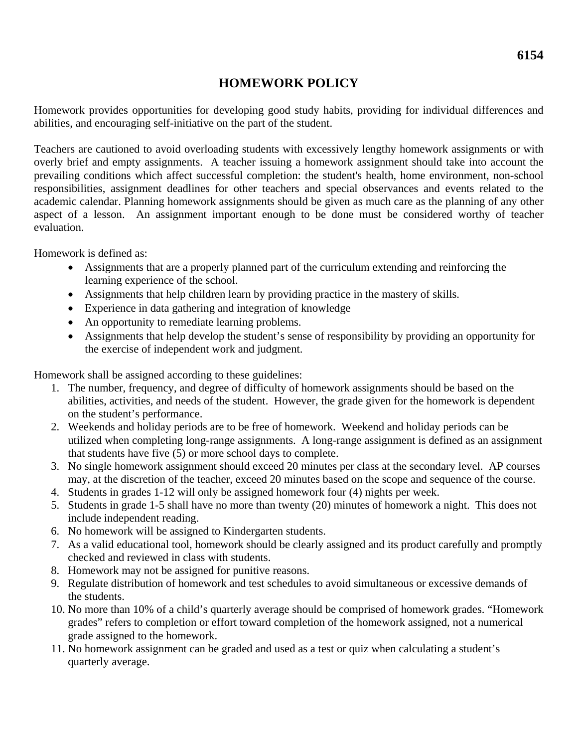## **HOMEWORK POLICY**

Homework provides opportunities for developing good study habits, providing for individual differences and abilities, and encouraging self-initiative on the part of the student.

Teachers are cautioned to avoid overloading students with excessively lengthy homework assignments or with overly brief and empty assignments. A teacher issuing a homework assignment should take into account the prevailing conditions which affect successful completion: the student's health, home environment, non-school responsibilities, assignment deadlines for other teachers and special observances and events related to the academic calendar. Planning homework assignments should be given as much care as the planning of any other aspect of a lesson. An assignment important enough to be done must be considered worthy of teacher evaluation.

Homework is defined as:

- Assignments that are a properly planned part of the curriculum extending and reinforcing the learning experience of the school.
- Assignments that help children learn by providing practice in the mastery of skills.
- Experience in data gathering and integration of knowledge
- An opportunity to remediate learning problems.
- Assignments that help develop the student's sense of responsibility by providing an opportunity for the exercise of independent work and judgment.

Homework shall be assigned according to these guidelines:

- 1. The number, frequency, and degree of difficulty of homework assignments should be based on the abilities, activities, and needs of the student. However, the grade given for the homework is dependent on the student's performance.
- 2. Weekends and holiday periods are to be free of homework. Weekend and holiday periods can be utilized when completing long-range assignments. A long-range assignment is defined as an assignment that students have five (5) or more school days to complete.
- 3. No single homework assignment should exceed 20 minutes per class at the secondary level. AP courses may, at the discretion of the teacher, exceed 20 minutes based on the scope and sequence of the course.
- 4. Students in grades 1-12 will only be assigned homework four (4) nights per week.
- 5. Students in grade 1-5 shall have no more than twenty (20) minutes of homework a night. This does not include independent reading.
- 6. No homework will be assigned to Kindergarten students.
- 7. As a valid educational tool, homework should be clearly assigned and its product carefully and promptly checked and reviewed in class with students.
- 8. Homework may not be assigned for punitive reasons.
- 9. Regulate distribution of homework and test schedules to avoid simultaneous or excessive demands of the students.
- 10. No more than 10% of a child's quarterly average should be comprised of homework grades. "Homework grades" refers to completion or effort toward completion of the homework assigned, not a numerical grade assigned to the homework.
- 11. No homework assignment can be graded and used as a test or quiz when calculating a student's quarterly average.